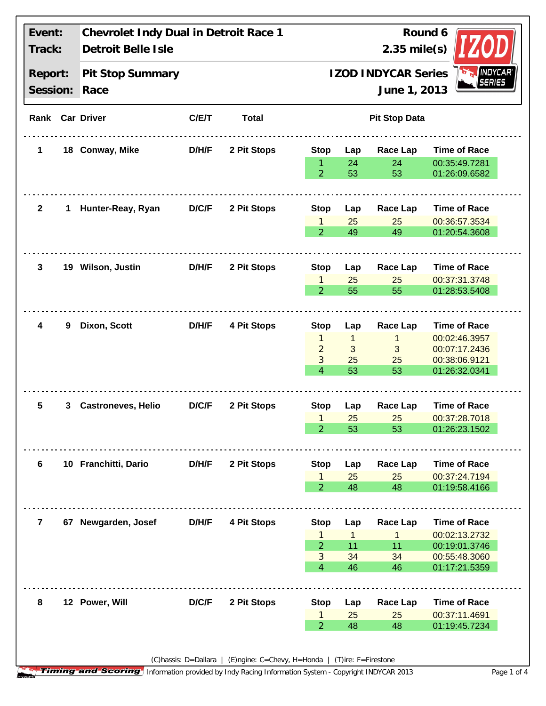| Event:<br>Track:<br>Report:<br>Session: |   | Chevrolet Indy Dual in Detroit Race 1<br>Detroit Belle Isle<br>Pit Stop Summary<br>Race |              |             | Round 6<br>$2.35$ mile(s)<br><b>NANDYCAR</b><br><b>IZOD INDYCAR Series</b><br>June 1, 2013 |                         |                          |                                                 |  |  |
|-----------------------------------------|---|-----------------------------------------------------------------------------------------|--------------|-------------|--------------------------------------------------------------------------------------------|-------------------------|--------------------------|-------------------------------------------------|--|--|
|                                         |   |                                                                                         |              |             |                                                                                            |                         |                          |                                                 |  |  |
| $\mathbf 1$                             |   | 18 Conway, Mike                                                                         | D/H/F        | 2 Pit Stops | <b>Stop</b>                                                                                | Lap                     | Race Lap                 | <b>Time of Race</b>                             |  |  |
|                                         |   |                                                                                         |              |             | $\overline{2}$                                                                             | 24<br>53                | 24<br>53                 | 00:35:49.7281<br>01:26:09.6582                  |  |  |
| $\mathbf{2}$                            | 1 | Hunter-Reay, Ryan                                                                       | <b>D/C/F</b> | 2 Pit Stops | <b>Stop</b>                                                                                | Lap                     | <b>Race Lap</b>          | <b>Time of Race</b>                             |  |  |
|                                         |   |                                                                                         |              |             | $\mathbf{1}$<br>$\overline{2}$                                                             | 25<br>49                | 25<br>49                 | 00:36:57.3534<br>01:20:54.3608                  |  |  |
| 3                                       |   | 19 Wilson, Justin                                                                       | D/H/F        | 2 Pit Stops | <b>Stop</b>                                                                                | Lap                     | Race Lap                 | <b>Time of Race</b>                             |  |  |
|                                         |   |                                                                                         |              |             | 1<br>$\overline{2}$                                                                        | 25<br>55                | 25<br>55                 | 00:37:31.3748<br>01:28:53.5408                  |  |  |
| 4                                       | 9 | Dixon, Scott                                                                            | D/H/F        | 4 Pit Stops | <b>Stop</b>                                                                                | Lap                     | <b>Race Lap</b>          | <b>Time of Race</b>                             |  |  |
|                                         |   |                                                                                         |              |             | 1<br>$\overline{a}$<br>3                                                                   | $\mathbf{1}$<br>3<br>25 | $\mathbf{1}$<br>3<br>25  | 00:02:46.3957<br>00:07:17.2436<br>00:38:06.9121 |  |  |
|                                         |   |                                                                                         |              |             | $\overline{4}$                                                                             | 53                      | 53                       | 01:26:32.0341                                   |  |  |
| 5                                       | 3 | <b>Castroneves, Helio</b>                                                               | D/C/F        | 2 Pit Stops | <b>Stop</b><br>$\mathbf{1}$                                                                | Lap<br>25               | <b>Race Lap</b><br>25    | <b>Time of Race</b><br>00:37:28.7018            |  |  |
|                                         |   |                                                                                         |              |             | $\overline{2}$                                                                             | 53                      | 53                       | 01:26:23.1502                                   |  |  |
| 6                                       |   | 10 Franchitti, Dario                                                                    | D/H/F        | 2 Pit Stops | <b>Stop</b><br>1                                                                           | Lap<br>25               | <b>Race Lap</b><br>25    | <b>Time of Race</b><br>00:37:24.7194            |  |  |
|                                         |   |                                                                                         |              |             | $\overline{2}$                                                                             | 48                      | 48                       | 01:19:58.4166                                   |  |  |
| $\overline{7}$                          |   | 67 Newgarden, Josef                                                                     | D/H/F        | 4 Pit Stops | <b>Stop</b>                                                                                | Lap                     | <b>Race Lap</b>          | <b>Time of Race</b>                             |  |  |
|                                         |   |                                                                                         |              |             | 1<br>$\overline{2}$<br>3                                                                   | 1<br>11<br>34           | $\mathbf{1}$<br>11<br>34 | 00:02:13.2732<br>00:19:01.3746<br>00:55:48.3060 |  |  |
|                                         |   |                                                                                         |              |             | 4                                                                                          | 46                      | 46                       | 01:17:21.5359                                   |  |  |
| 8                                       |   | 12 Power, Will                                                                          | D/C/F        | 2 Pit Stops | <b>Stop</b>                                                                                | Lap                     | <b>Race Lap</b>          | <b>Time of Race</b>                             |  |  |
|                                         |   |                                                                                         |              |             | 1<br>$\overline{2}$                                                                        | 25<br>48                | 25<br>48                 | 00:37:11.4691<br>01:19:45.7234                  |  |  |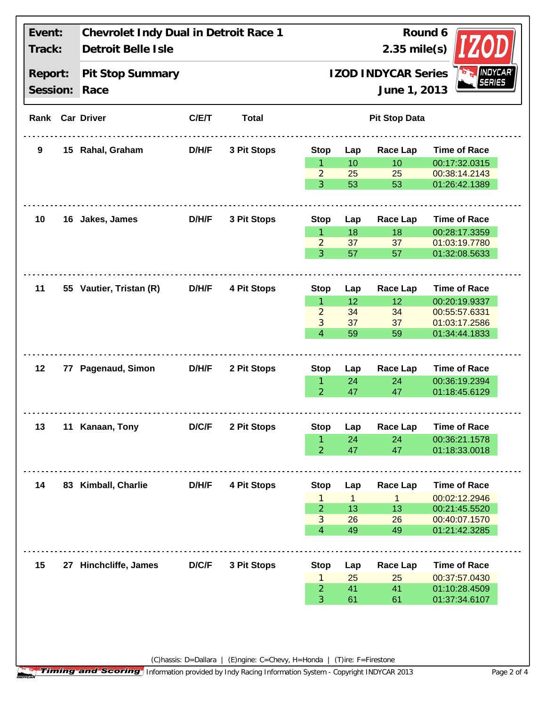| Event:<br>Track:<br>Report:<br>Session: |  | Chevrolet Indy Dual in Detroit Race 1<br>Detroit Belle Isle<br>Pit Stop Summary<br>Race |              |             | Round 6<br>$2.35$ mile(s)<br>INDYCAR <sup>®</sup><br>SERIES<br><b>IZOD INDYCAR Series</b><br>June 1, 2013 |              |                 |                                |  |
|-----------------------------------------|--|-----------------------------------------------------------------------------------------|--------------|-------------|-----------------------------------------------------------------------------------------------------------|--------------|-----------------|--------------------------------|--|
|                                         |  |                                                                                         |              |             |                                                                                                           |              |                 |                                |  |
| 9                                       |  | 15 Rahal, Graham                                                                        | D/H/F        | 3 Pit Stops | <b>Stop</b>                                                                                               | Lap          | <b>Race Lap</b> | <b>Time of Race</b>            |  |
|                                         |  |                                                                                         |              |             | 1.                                                                                                        | 10           | 10              | 00:17:32.0315                  |  |
|                                         |  |                                                                                         |              |             | 2                                                                                                         | 25           | 25              | 00:38:14.2143                  |  |
|                                         |  |                                                                                         |              |             | 3                                                                                                         | 53           | 53              | 01:26:42.1389                  |  |
| 10                                      |  | 16 Jakes, James                                                                         | <b>D/H/F</b> | 3 Pit Stops | <b>Stop</b>                                                                                               | Lap          | <b>Race Lap</b> | <b>Time of Race</b>            |  |
|                                         |  |                                                                                         |              |             | $\mathbf{1}$                                                                                              | 18           | 18              | 00:28:17.3359                  |  |
|                                         |  |                                                                                         |              |             | $\overline{2}$                                                                                            | 37           | 37              | 01:03:19.7780                  |  |
|                                         |  |                                                                                         |              |             | 3                                                                                                         | 57           | 57              | 01:32:08.5633                  |  |
| 11                                      |  | 55 Vautier, Tristan (R)                                                                 | D/H/F        | 4 Pit Stops | <b>Stop</b>                                                                                               | Lap          | <b>Race Lap</b> | <b>Time of Race</b>            |  |
|                                         |  |                                                                                         |              |             | $\mathbf{1}$                                                                                              | 12           | 12              | 00:20:19.9337                  |  |
|                                         |  |                                                                                         |              |             | $\overline{2}$                                                                                            | 34           | 34              | 00:55:57.6331                  |  |
|                                         |  |                                                                                         |              |             | 3<br>$\overline{4}$                                                                                       | 37<br>59     | 37<br>59        | 01:03:17.2586<br>01:34:44.1833 |  |
| 12 <sub>2</sub>                         |  | 77 Pagenaud, Simon                                                                      | <b>D/H/F</b> | 2 Pit Stops | <b>Stop</b>                                                                                               | Lap          | Race Lap        | <b>Time of Race</b>            |  |
|                                         |  |                                                                                         |              |             | 1                                                                                                         | 24           | 24              | 00:36:19.2394                  |  |
|                                         |  |                                                                                         |              |             | $\overline{2}$                                                                                            | 47           | 47              | 01:18:45.6129                  |  |
| 13                                      |  | 11 Kanaan, Tony                                                                         | D/C/F        | 2 Pit Stops | <b>Stop</b>                                                                                               | Lap          | Race Lap        | <b>Time of Race</b>            |  |
|                                         |  |                                                                                         |              |             | $\mathbf{1}$                                                                                              | 24           | 24              | 00:36:21.1578                  |  |
|                                         |  |                                                                                         |              |             | $\overline{2}$                                                                                            | 47           | 47              | 01:18:33.0018                  |  |
| 14                                      |  | 83 Kimball, Charlie                                                                     | D/H/F        | 4 Pit Stops | <b>Stop</b>                                                                                               | Lap          | Race Lap        | <b>Time of Race</b>            |  |
|                                         |  |                                                                                         |              |             | 1                                                                                                         | $\mathbf{1}$ | $\mathbf 1$     | 00:02:12.2946                  |  |
|                                         |  |                                                                                         |              |             | $\overline{2}$                                                                                            | 13           | 13              | 00:21:45.5520                  |  |
|                                         |  |                                                                                         |              |             | 3                                                                                                         | 26           | 26              | 00:40:07.1570                  |  |
|                                         |  |                                                                                         |              |             | $\overline{4}$                                                                                            | 49           | 49              | 01:21:42.3285                  |  |
| 15                                      |  | 27 Hinchcliffe, James                                                                   | D/C/F        | 3 Pit Stops | <b>Stop</b>                                                                                               | Lap          | <b>Race Lap</b> | <b>Time of Race</b>            |  |
|                                         |  |                                                                                         |              |             | 1                                                                                                         | 25           | 25              | 00:37:57.0430                  |  |
|                                         |  |                                                                                         |              |             | $\overline{2}$                                                                                            | 41           | 41              | 01:10:28.4509                  |  |
|                                         |  |                                                                                         |              |             | 3                                                                                                         | 61           | 61              | 01:37:34.6107                  |  |

(C)hassis: D=Dallara | (E)ngine: C=Chevy, H=Honda | (T)ire: F=Firestone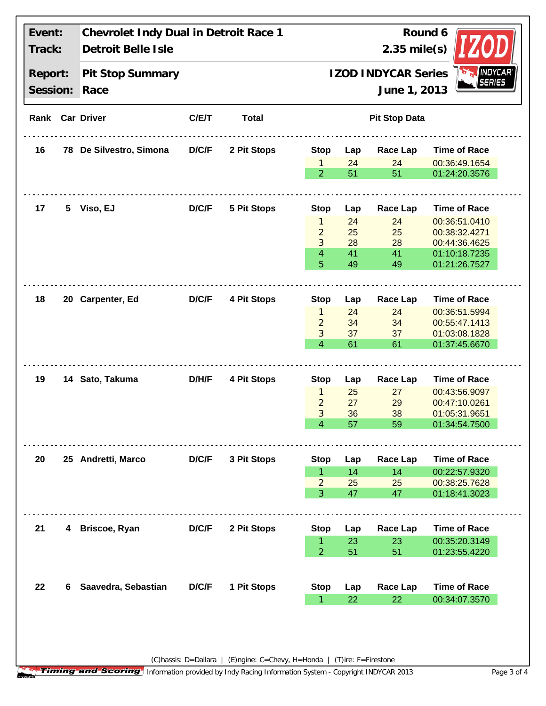| Event:<br>Track:<br>Report:<br>Session: |    | Chevrolet Indy Dual in Detroit Race 1<br>Detroit Belle Isle<br>Pit Stop Summary<br>Race |       |             | Round 6<br>$2.35$ mile(s)<br><i><b>INDYCAR</b></i><br><b>IZOD INDYCAR Series</b><br><b>SERIES</b><br>June 1, 2013 |           |                       |                                |  |  |
|-----------------------------------------|----|-----------------------------------------------------------------------------------------|-------|-------------|-------------------------------------------------------------------------------------------------------------------|-----------|-----------------------|--------------------------------|--|--|
|                                         |    |                                                                                         |       |             |                                                                                                                   |           |                       |                                |  |  |
| 16                                      |    | 78 De Silvestro, Simona                                                                 | D/C/F | 2 Pit Stops | <b>Stop</b>                                                                                                       | Lap       | Race Lap              | <b>Time of Race</b>            |  |  |
|                                         |    |                                                                                         |       |             | $\mathbf{1}$<br>$\overline{2}$                                                                                    | 24<br>51  | 24<br>51              | 00:36:49.1654<br>01:24:20.3576 |  |  |
| 17                                      | 5. | Viso, EJ                                                                                | D/C/F | 5 Pit Stops | <b>Stop</b>                                                                                                       | Lap       | <b>Race Lap</b>       | <b>Time of Race</b>            |  |  |
|                                         |    |                                                                                         |       |             | $\mathbf{1}$                                                                                                      | 24        | 24                    | 00:36:51.0410                  |  |  |
|                                         |    |                                                                                         |       |             | $\overline{2}$                                                                                                    | 25        | 25                    | 00:38:32.4271                  |  |  |
|                                         |    |                                                                                         |       |             | 3                                                                                                                 | 28        | 28                    | 00:44:36.4625                  |  |  |
|                                         |    |                                                                                         |       |             | $\overline{4}$<br>5                                                                                               | 41<br>49  | 41<br>49              | 01:10:18.7235<br>01:21:26.7527 |  |  |
| 18                                      |    | 20 Carpenter, Ed                                                                        | D/C/F | 4 Pit Stops |                                                                                                                   |           |                       | <b>Time of Race</b>            |  |  |
|                                         |    |                                                                                         |       |             | <b>Stop</b><br>$\mathbf{1}$                                                                                       | Lap<br>24 | <b>Race Lap</b><br>24 | 00:36:51.5994                  |  |  |
|                                         |    |                                                                                         |       |             | $\overline{2}$                                                                                                    | 34        | 34                    | 00:55:47.1413                  |  |  |
|                                         |    |                                                                                         |       |             | 3                                                                                                                 | 37        | 37                    | 01:03:08.1828                  |  |  |
|                                         |    |                                                                                         |       |             | $\overline{4}$                                                                                                    | 61        | 61                    | 01:37:45.6670                  |  |  |
| 19                                      |    | 14 Sato, Takuma                                                                         | D/H/F | 4 Pit Stops | <b>Stop</b>                                                                                                       | Lap       | <b>Race Lap</b>       | <b>Time of Race</b>            |  |  |
|                                         |    |                                                                                         |       |             | $\mathbf{1}$                                                                                                      | 25        | 27                    | 00:43:56.9097                  |  |  |
|                                         |    |                                                                                         |       |             | $\overline{2}$                                                                                                    | 27        | 29                    | 00:47:10.0261                  |  |  |
|                                         |    |                                                                                         |       |             | 3                                                                                                                 | 36        | 38                    | 01:05:31.9651                  |  |  |
|                                         |    |                                                                                         |       |             | 4                                                                                                                 | 57        | 59                    | 01:34:54.7500                  |  |  |
| 20                                      |    | 25 Andretti, Marco                                                                      | D/C/F | 3 Pit Stops | <b>Stop</b>                                                                                                       | Lap       | <b>Race Lap</b>       | <b>Time of Race</b>            |  |  |
|                                         |    |                                                                                         |       |             | $\mathbf{1}$                                                                                                      | 14        | 14                    | 00:22:57.9320                  |  |  |
|                                         |    |                                                                                         |       |             | $\overline{2}$<br>3                                                                                               | 25<br>47  | 25<br>47              | 00:38:25.7628<br>01:18:41.3023 |  |  |
| 21                                      |    | 4 Briscoe, Ryan                                                                         | D/C/F | 2 Pit Stops | <b>Stop</b>                                                                                                       | Lap       | <b>Race Lap</b>       | <b>Time of Race</b>            |  |  |
|                                         |    |                                                                                         |       |             | 1                                                                                                                 | 23        | 23                    | 00:35:20.3149                  |  |  |
|                                         |    |                                                                                         |       |             | $\overline{2}$                                                                                                    | 51        | 51                    | 01:23:55.4220                  |  |  |
| 22                                      | 6. | Saavedra, Sebastian                                                                     | D/C/F | 1 Pit Stops | <b>Stop</b>                                                                                                       | Lap       | <b>Race Lap</b>       | <b>Time of Race</b>            |  |  |
|                                         |    |                                                                                         |       |             | $\mathbf{1}$                                                                                                      | 22        | 22                    | 00:34:07.3570                  |  |  |